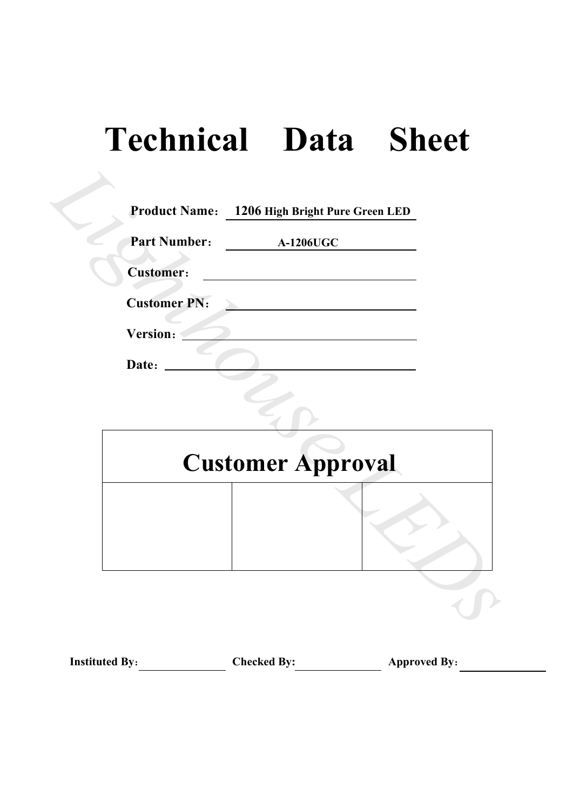# **Technical Data Sheet**

| <b>Part Number:</b> | <b>A-1206UGC</b> |                          |
|---------------------|------------------|--------------------------|
| <b>Customer:</b>    |                  |                          |
| <b>Customer PN:</b> |                  |                          |
| Version:            |                  |                          |
|                     |                  |                          |
|                     |                  |                          |
|                     |                  |                          |
|                     |                  |                          |
|                     |                  | <b>Customer Approval</b> |

| <b>Instituted By:</b> | <b>Checked By:</b> | <b>Approved By:</b> |
|-----------------------|--------------------|---------------------|
|-----------------------|--------------------|---------------------|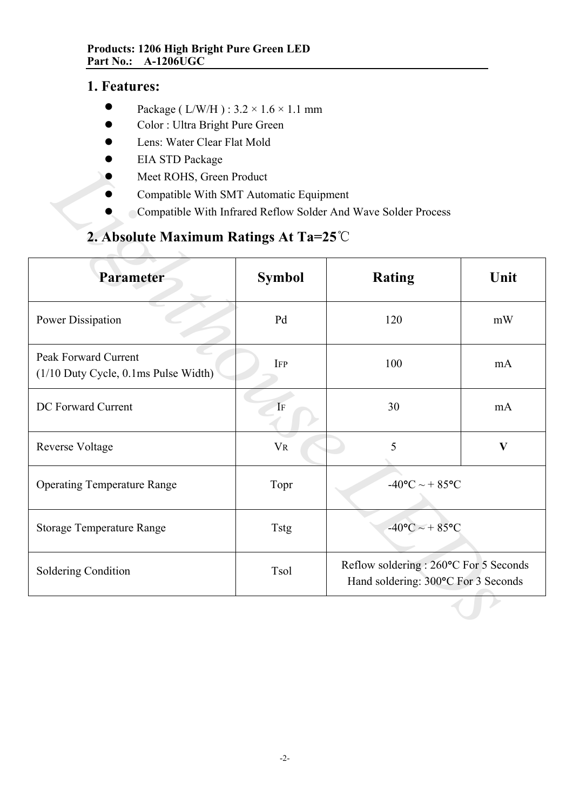# **1. Features:**

- $\bullet$ Package ( L/W/H ) : 3.2 × 1.6 × 1.1 mm
- $\bullet$ Color : Ultra Bright Pure Green
- $\bullet$ Lens: Water Clear Flat Mold
- $\bullet$ EIA STD Package
- $\bullet$ Meet ROHS, Green Product
- $\bullet$ Compatible With SMT Automatic Equipment
- $\bullet$ Compatible With Infrared Reflow Solder And Wave Solder Process

# **2. Absolute Maximum Ratings At Ta=25**℃

| LIA STD I aUNASU<br>Meet ROHS, Green Product<br>Compatible With SMT Automatic Equipment |                | Compatible With Infrared Reflow Solder And Wave Solder Process                |      |  |  |
|-----------------------------------------------------------------------------------------|----------------|-------------------------------------------------------------------------------|------|--|--|
| 2. Absolute Maximum Ratings At Ta= $25^{\circ}$ C                                       |                |                                                                               |      |  |  |
| Parameter                                                                               | <b>Symbol</b>  | <b>Rating</b>                                                                 | Unit |  |  |
| Power Dissipation                                                                       | Pd             | 120                                                                           | mW   |  |  |
| Peak Forward Current<br>(1/10 Duty Cycle, 0.1ms Pulse Width)                            | <b>IFP</b>     | 100<br>mA                                                                     |      |  |  |
| DC Forward Current                                                                      | IF             | 30<br>mA                                                                      |      |  |  |
| Reverse Voltage                                                                         | V <sub>R</sub> | 5<br>$\mathbf{V}$                                                             |      |  |  |
| <b>Operating Temperature Range</b>                                                      | Topr           | $-40$ °C ~ + 85°C                                                             |      |  |  |
| <b>Storage Temperature Range</b>                                                        | <b>Tstg</b>    | $-40$ °C ~ + 85°C                                                             |      |  |  |
| Soldering Condition                                                                     | Tsol           | Reflow soldering : 260°C For 5 Seconds<br>Hand soldering: 300°C For 3 Seconds |      |  |  |
|                                                                                         |                |                                                                               |      |  |  |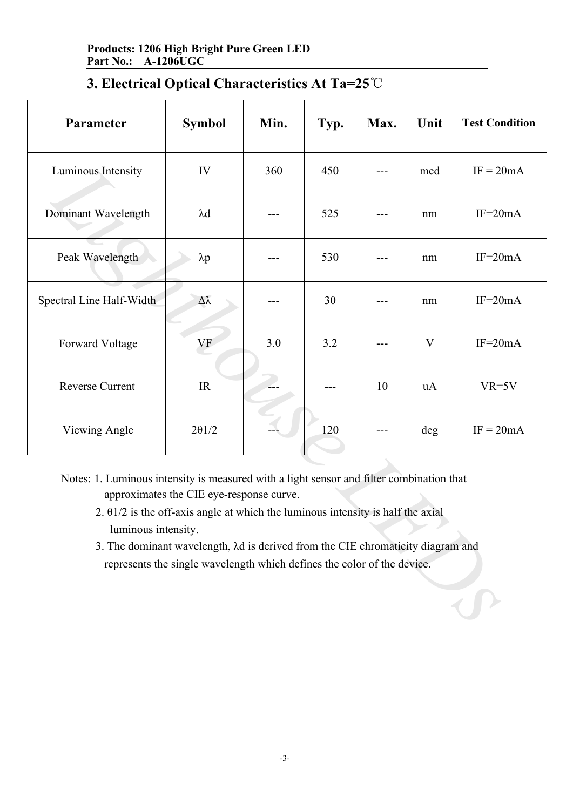| Parameter                                                                                                                                                                                                                                                                                                                                                                                                                     | <b>Symbol</b> | Min. | Typ. | Max. | Unit | <b>Test Condition</b> |
|-------------------------------------------------------------------------------------------------------------------------------------------------------------------------------------------------------------------------------------------------------------------------------------------------------------------------------------------------------------------------------------------------------------------------------|---------------|------|------|------|------|-----------------------|
| Luminous Intensity                                                                                                                                                                                                                                                                                                                                                                                                            | IV            | 360  | 450  |      | mcd  | $IF = 20mA$           |
| Dominant Wavelength                                                                                                                                                                                                                                                                                                                                                                                                           | $\lambda$ d   |      | 525  |      | nm   | $IF=20mA$             |
| Peak Wavelength                                                                                                                                                                                                                                                                                                                                                                                                               | $\lambda p$   |      | 530  |      | nm   | $IF=20mA$             |
| Spectral Line Half-Width                                                                                                                                                                                                                                                                                                                                                                                                      | Δλ            |      | 30   |      | nm   | $IF=20mA$             |
| Forward Voltage                                                                                                                                                                                                                                                                                                                                                                                                               | VF            | 3.0  | 3.2  |      | V    | $IF=20mA$             |
| <b>Reverse Current</b>                                                                                                                                                                                                                                                                                                                                                                                                        | IR            |      |      | 10   | uA   | $VR=5V$               |
| Viewing Angle                                                                                                                                                                                                                                                                                                                                                                                                                 | $2\theta$ 1/2 |      | 120  |      | deg  | $IF = 20mA$           |
| Notes: 1. Luminous intensity is measured with a light sensor and filter combination that<br>approximates the CIE eye-response curve.<br>2. $\theta$ 1/2 is the off-axis angle at which the luminous intensity is half the axial<br>luminous intensity.<br>3. The dominant wavelength, $\lambda d$ is derived from the CIE chromaticity diagram and<br>represents the single wavelength which defines the color of the device. |               |      |      |      |      |                       |

- 2. θ1/2 is the off-axis angle at which the luminous intensity is half the axial luminous intensity.
- 3. The dominant wavelength, λd is derived from the CIE chromaticity diagram and represents the single wavelength which defines the color of the device.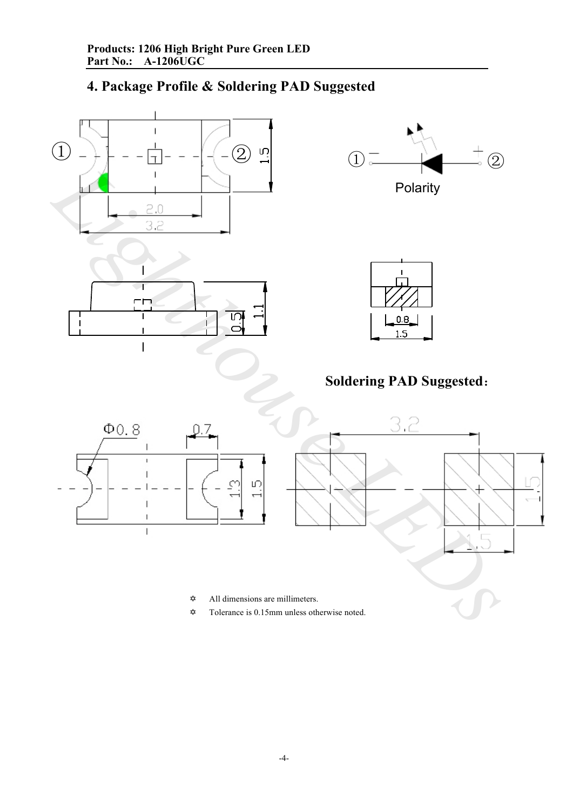# **4. Package Profile & Soldering PAD Suggested**

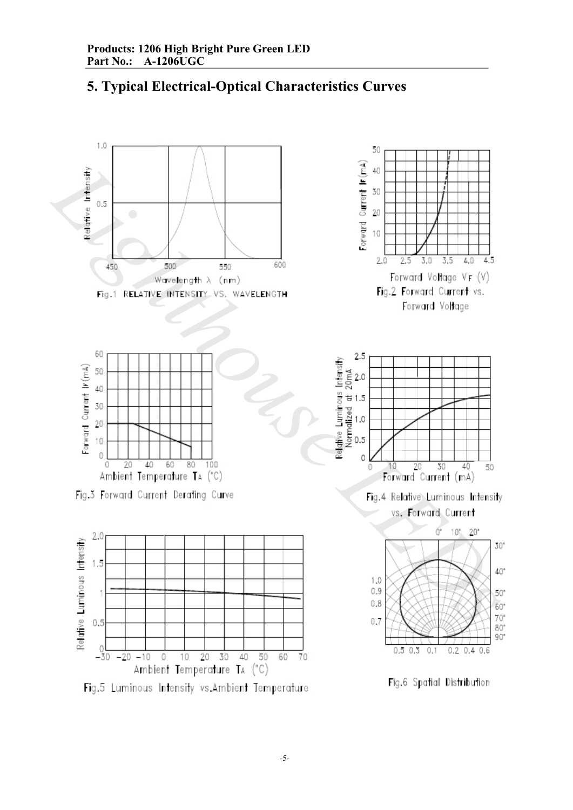

# **5. Typical Electrical-Optical Characteristics Curves**

Fig.5 Luminous Intensity vs.Ambient Temperature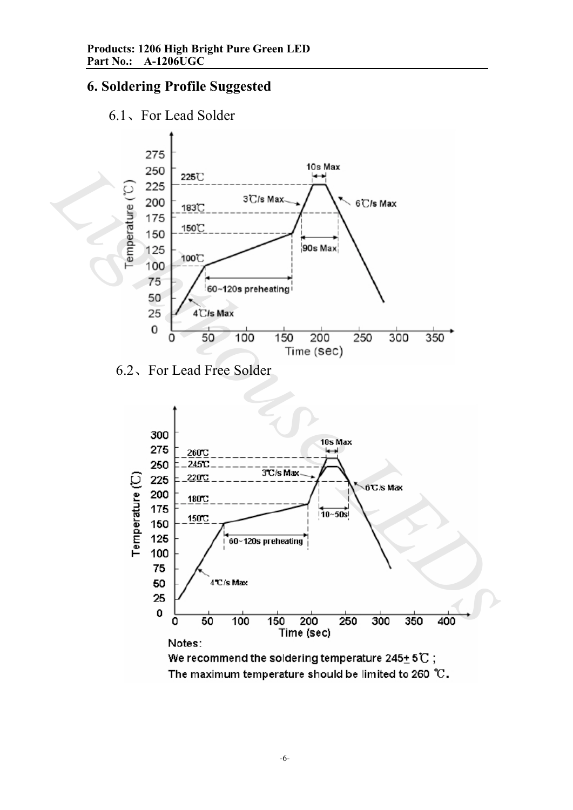# **6. Soldering Profile Suggested**





6.2、For Lead Free Solder

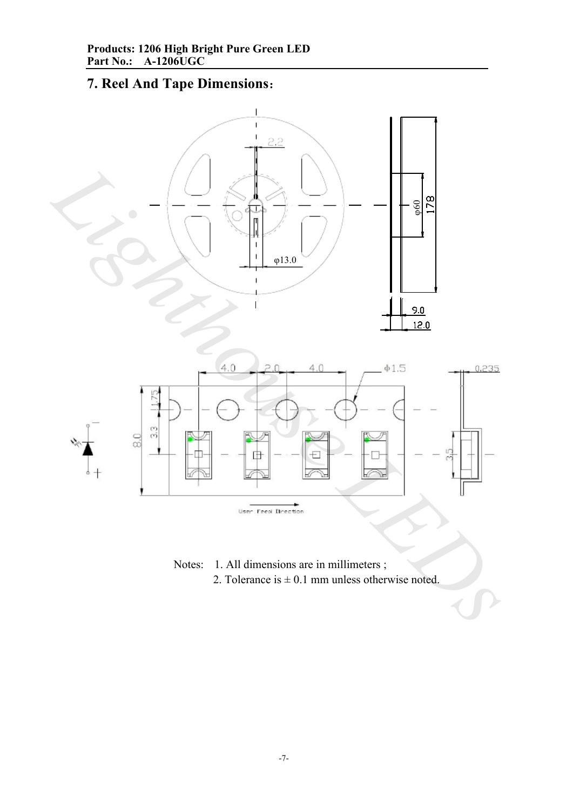# **7. Reel And Tape Dimensions**:



Notes: 1. All dimensions are in millimeters ; 2. Tolerance is  $\pm$  0.1 mm unless otherwise noted.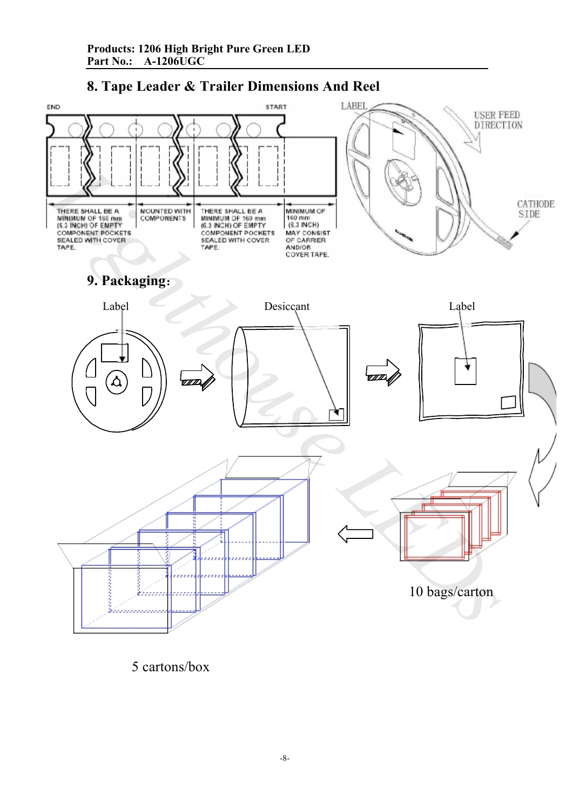



5 cartons/box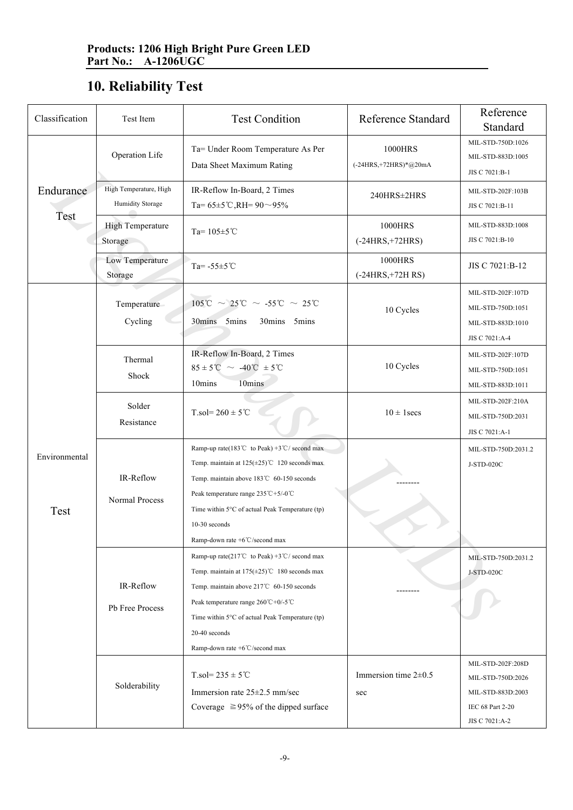# **10. Reliability Test**

| Classification        | Test Item                                  | <b>Test Condition</b>                                                                                                                                                                                                                                                                                                                                                     | <b>Reference Standard</b>          | Reference<br>Standard                                                         |
|-----------------------|--------------------------------------------|---------------------------------------------------------------------------------------------------------------------------------------------------------------------------------------------------------------------------------------------------------------------------------------------------------------------------------------------------------------------------|------------------------------------|-------------------------------------------------------------------------------|
| Endurance<br>Test     | Operation Life                             | Ta= Under Room Temperature As Per<br>Data Sheet Maximum Rating                                                                                                                                                                                                                                                                                                            | 1000HRS<br>$(-24HRS,+72HRS)*@20mA$ | MIL-STD-750D:1026<br>MIL-STD-883D:1005<br>JIS C 7021:B-1                      |
|                       | High Temperature, High<br>Humidity Storage | IR-Reflow In-Board, 2 Times<br>Ta= $65\pm5$ °C,RH= $90 \sim 95\%$                                                                                                                                                                                                                                                                                                         | 240HRS±2HRS                        | MIL-STD-202F:103B<br>JIS C 7021:B-11                                          |
|                       | <b>High Temperature</b><br>Storage         | Ta= $105 \pm 5$ °C                                                                                                                                                                                                                                                                                                                                                        | 1000HRS<br>$(-24HRS,+72HRS)$       | MIL-STD-883D:1008<br>JIS C 7021:B-10                                          |
|                       | Low Temperature<br>Storage                 | Ta= $-55 \pm 5^{\circ}$ C                                                                                                                                                                                                                                                                                                                                                 | 1000HRS<br>$(-24HRS,+72HRS)$       | JIS C 7021:B-12                                                               |
| Environmental<br>Test | Temperature<br>Cycling                     | $105^{\circ}\text{C} \sim 25^{\circ}\text{C} \sim -55^{\circ}\text{C} \sim 25^{\circ}\text{C}$<br>30mins 5mins<br>30mins 5mins                                                                                                                                                                                                                                            | 10 Cycles                          | MIL-STD-202F:107D<br>MIL-STD-750D:1051<br>MIL-STD-883D:1010<br>JIS C 7021:A-4 |
|                       | Thermal<br>Shock                           | IR-Reflow In-Board, 2 Times<br>$85 \pm 5^{\circ}\text{C} \sim -40^{\circ}\text{C} \pm 5^{\circ}\text{C}$<br>10mins<br>10mins                                                                                                                                                                                                                                              | 10 Cycles                          | MIL-STD-202F:107D<br>MIL-STD-750D:1051<br>MIL-STD-883D:1011                   |
|                       | Solder<br>Resistance                       | $T_{.}sol = 260 \pm 5^{\circ}C$                                                                                                                                                                                                                                                                                                                                           | $10 \pm 1$ secs                    | MIL-STD-202F:210A<br>MIL-STD-750D:2031<br>JIS C 7021:A-1                      |
|                       | IR-Reflow<br>Normal Process                | Ramp-up rate(183°C to Peak) +3°C/ second max<br>Temp. maintain at $125(\pm 25)$ °C 120 seconds max<br>Temp. maintain above 183℃ 60-150 seconds<br>Peak temperature range 235°C+5/-0°C<br>Time within 5°C of actual Peak Temperature (tp)<br>$10-30$ seconds<br>Ramp-down rate +6°C/second max                                                                             |                                    | MIL-STD-750D:2031.2<br>J-STD-020C                                             |
|                       | IR-Reflow<br>Pb Free Process               | Ramp-up rate(217°C to Peak) +3°C/ second max<br>Temp. maintain at $175(\pm 25)$ °C 180 seconds max<br>Temp. maintain above 217℃ 60-150 seconds<br>Peak temperature range $260^{\circ}$ C+0/-5 <sup>°</sup> C<br>Time within $5^{\circ}$ C of actual Peak Temperature (tp)<br>20-40 seconds<br>Ramp-down rate $+6^{\circ}$ C/second max<br>$T_{.}sol = 235 \pm 5^{\circ}C$ | Immersion time $2\pm0.5$           | MIL-STD-750D:2031.2<br>J-STD-020C<br>MIL-STD-202F:208D<br>MIL-STD-750D:2026   |
|                       | Solderability                              | Immersion rate $25\pm2.5$ mm/sec<br>Coverage $\geq 95\%$ of the dipped surface                                                                                                                                                                                                                                                                                            | sec                                | MIL-STD-883D:2003<br>IEC 68 Part 2-20<br>JIS C 7021:A-2                       |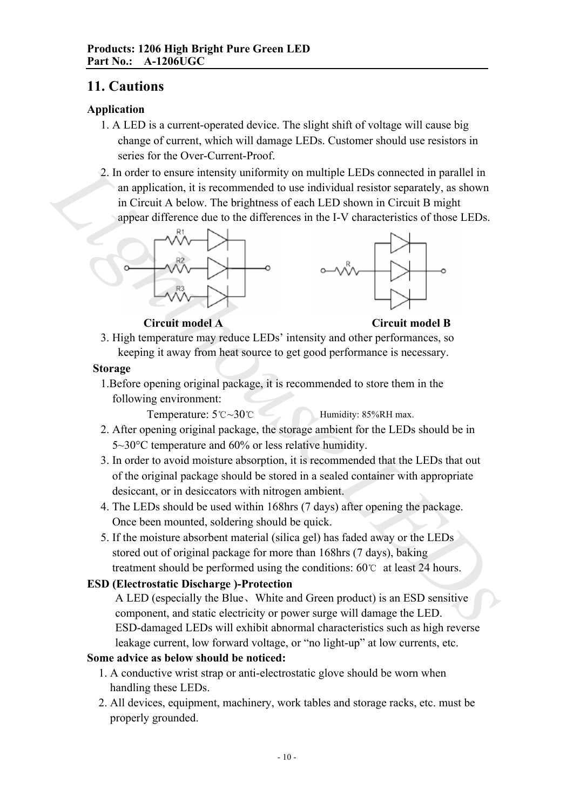## **11. Cautions**

#### **Application**

- 1. A LED is a current-operated device. The slight shift of voltage will cause big change of current, which will damage LEDs. Customer should use resistors in series for the Over-Current-Proof.
- 2. In order to ensure intensity uniformity on multiple LEDs connected in parallel in an application, it is recommended to use individual resistor separately, as shown in Circuit A below. The brightness of each LED shown in Circuit B might appear difference due to the differences in the I-V characteristics of those LEDs. 2. In order to ensure intensity uniformity on multiple LEDs connected in parallel in<br>
an application, it is economeded to use individual resistor separately, as shown<br>
in Circuit A below. The brightness of each LED shown





**Circuit model A Circuit model B**

3. High temperature may reduce LEDs' intensity and other performances, so keeping it away from heat source to get good performance is necessary.

#### **Storage**

1.Before opening original package, it is recommended to store them in the following environment:

Temperature: 5℃~30℃ Humidity: 85%RH max.

- 2. After opening original package, the storage ambient for the LEDs should be in 5~30°C temperature and 60% or less relative humidity.
- 3. In order to avoid moisture absorption, it is recommended that the LEDs that out of the original package should be stored in a sealed container with appropriate desiccant, or in desiccators with nitrogen ambient.
- 4. The LEDs should be used within 168hrs (7 days) after opening the package. Once been mounted, soldering should be quick.
- 5. If the moisture absorbent material (silica gel) has faded away or the LEDs stored out of original package for more than 168hrs (7 days), baking treatment should be performed using the conditions: 60℃ at least 24 hours.

## **ESD (Electrostatic Discharge )-Protection**

A LED (especially the Blue、White and Green product) is an ESD sensitive component, and static electricity or power surge will damage the LED. ESD-damaged LEDs will exhibit abnormal characteristics such as high reverse leakage current, low forward voltage, or "no light-up" at low currents, etc.

## **Some advice as below should be noticed:**

- 1. A conductive wrist strap or anti-electrostatic glove should be worn when handling these LEDs.
- 2. All devices, equipment, machinery, work tables and storage racks, etc. must be properly grounded.